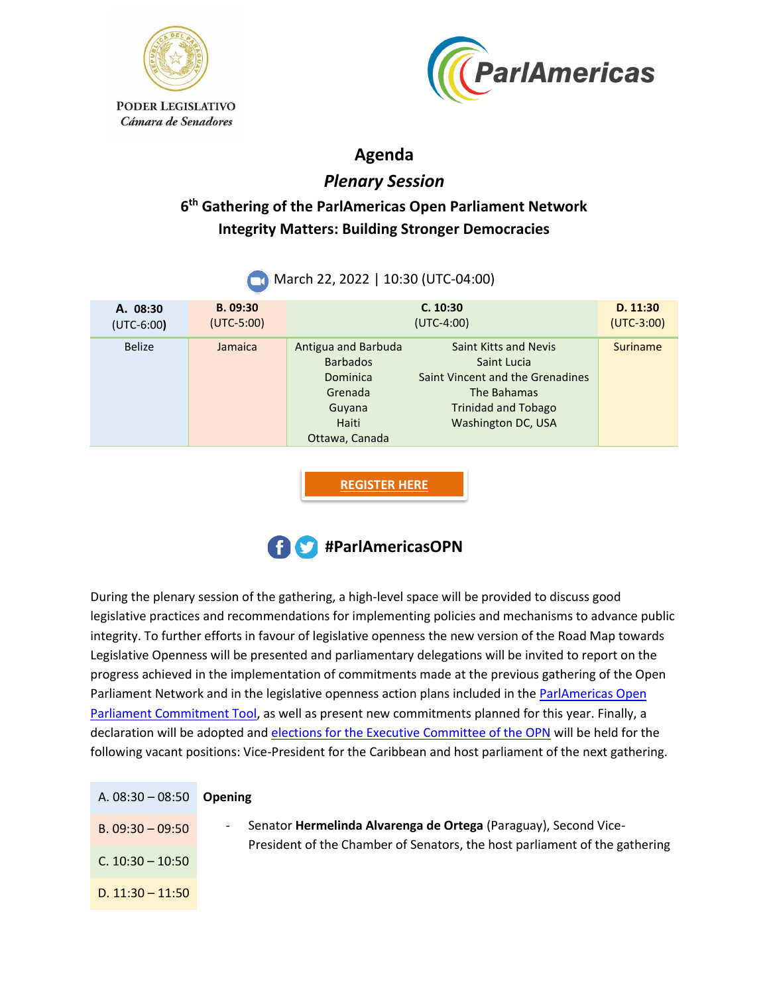



## **Agenda**

## *Plenary Session*

# **6 th Gathering of the ParlAmericas Open Parliament Network Integrity Matters: Building Stronger Democracies**

| A. 08:30<br>$(UTC-6:00)$ | B. 09:30<br>$(UTC-5:00)$ |                                                                                                    | C. 10:30<br>$(UTC-4:00)$                                                                                                                           | D. 11:30<br>$(UTC-3:00)$ |
|--------------------------|--------------------------|----------------------------------------------------------------------------------------------------|----------------------------------------------------------------------------------------------------------------------------------------------------|--------------------------|
| <b>Belize</b>            | Jamaica                  | Antigua and Barbuda<br><b>Barbados</b><br>Dominica<br>Grenada<br>Guyana<br>Haiti<br>Ottawa, Canada | <b>Saint Kitts and Nevis</b><br>Saint Lucia<br>Saint Vincent and the Grenadines<br>The Bahamas<br><b>Trinidad and Tobago</b><br>Washington DC, USA | Suriname                 |

### **March 22, 2022 | 10:30 (UTC-04:00)**





During the plenary session of the gathering, a high-level space will be provided to discuss good legislative practices and recommendations for implementing policies and mechanisms to advance public integrity. To further efforts in favour of legislative openness the new version of the Road Map towards Legislative Openness will be presented and parliamentary delegations will be invited to report on the progress achieved in the implementation of commitments made at the previous gathering of the Open Parliament Network and in the legislative openness action plans included in the ParlAmericas Open [Parliament Commitment Tool,](http://www.parlamericas.org/en/open-parliament/parl-comm-tracker.aspx?/) as well as present new commitments planned for this year. Finally, a declaration will be adopted and [elections for the Executive Committee of the OPN](https://parlamericas.org/uploads/documents/Election_advisory_ENG_OPN_2022.pdf) will be held for the following vacant positions: Vice-President for the Caribbean and host parliament of the next gathering.

| A. $08:30 - 08:50$ Opening |                     |
|----------------------------|---------------------|
| $B. 09:30 - 09:50$         | <b>Senator Herr</b> |

C. 10:30 – 10:50

melinda Alvarenga de Ortega (Paraguay), Second Vice-President of the Chamber of Senators, the host parliament of the gathering

D.  $11:30 - 11:50$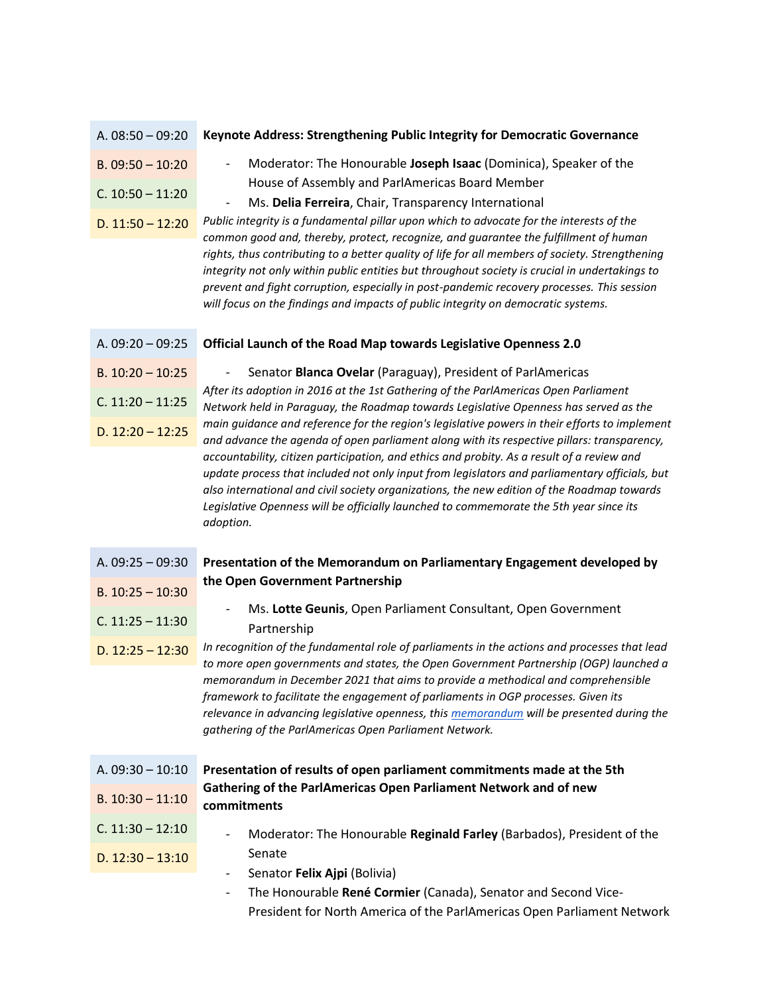- A. 08:50 09:20 **Keynote Address: Strengthening Public Integrity for Democratic Governance** - Moderator: The Honourable **Joseph Isaac** (Dominica), Speaker of the B. 09:50 – 10:20
- House of Assembly and ParlAmericas Board Member - Ms. **Delia Ferreira**, Chair, Transparency International C.  $10:50 - 11:20$
- *Public integrity is a fundamental pillar upon which to advocate for the interests of the common good and, thereby, protect, recognize, and guarantee the fulfillment of human rights, thus contributing to a better quality of life for all members of society. Strengthening integrity not only within public entities but throughout society is crucial in undertakings to prevent and fight corruption, especially in post-pandemic recovery processes. This session will focus on the findings and impacts of public integrity on democratic systems.* D.  $11:50 - 12:20$

#### A. 09:20 – 09:25 **Official Launch of the Road Map towards Legislative Openness 2.0**

- B.  $10:20 10:25$
- C. 11:20 11:25
- D.  $12:20 12:25$

- Senator **Blanca Ovelar** (Paraguay), President of ParlAmericas *After its adoption in 2016 at the 1st Gathering of the ParlAmericas Open Parliament Network held in Paraguay, the Roadmap towards Legislative Openness has served as the main guidance and reference for the region's legislative powers in their efforts to implement and advance the agenda of open parliament along with its respective pillars: transparency, accountability, citizen participation, and ethics and probity. As a result of a review and update process that included not only input from legislators and parliamentary officials, but also international and civil society organizations, the new edition of the Roadmap towards Legislative Openness will be officially launched to commemorate the 5th year since its adoption.*

#### A. 09:25 – 09:30 **Presentation of the Memorandum on Parliamentary Engagement developed by the Open Government Partnership** B. 10:25 – 10:30

- Ms. **Lotte Geunis**, Open Parliament Consultant, Open Government Partnership

*In recognition of the fundamental role of parliaments in the actions and processes that lead to more open governments and states, the Open Government Partnership (OGP) launched a memorandum in December 2021 that aims to provide a methodical and comprehensible framework to facilitate the engagement of parliaments in OGP processes. Given its relevance in advancing legislative openness, this [memorandum](https://www.opengovpartnership.org/documents/memorandum-on-parliamentary-engagement/) will be presented during the gathering of the ParlAmericas Open Parliament Network.* D.  $12:25 - 12:30$ 

- 
- 

C. 11:25 – 11:30

B. 10:30 – 11:10

### A. 09:30 – 10:10 **Presentation of results of open parliament commitments made at the 5th Gathering of the ParlAmericas Open Parliament Network and of new commitments**

- Moderator: The Honourable **Reginald Farley** (Barbados), President of the Senate  $C. 11:30 - 12:10$ D.  $12:30 - 13:10$ 
	- Senator **Felix Ajpi** (Bolivia)
	- The Honourable **René Cormier** (Canada), Senator and Second Vice-President for North America of the ParlAmericas Open Parliament Network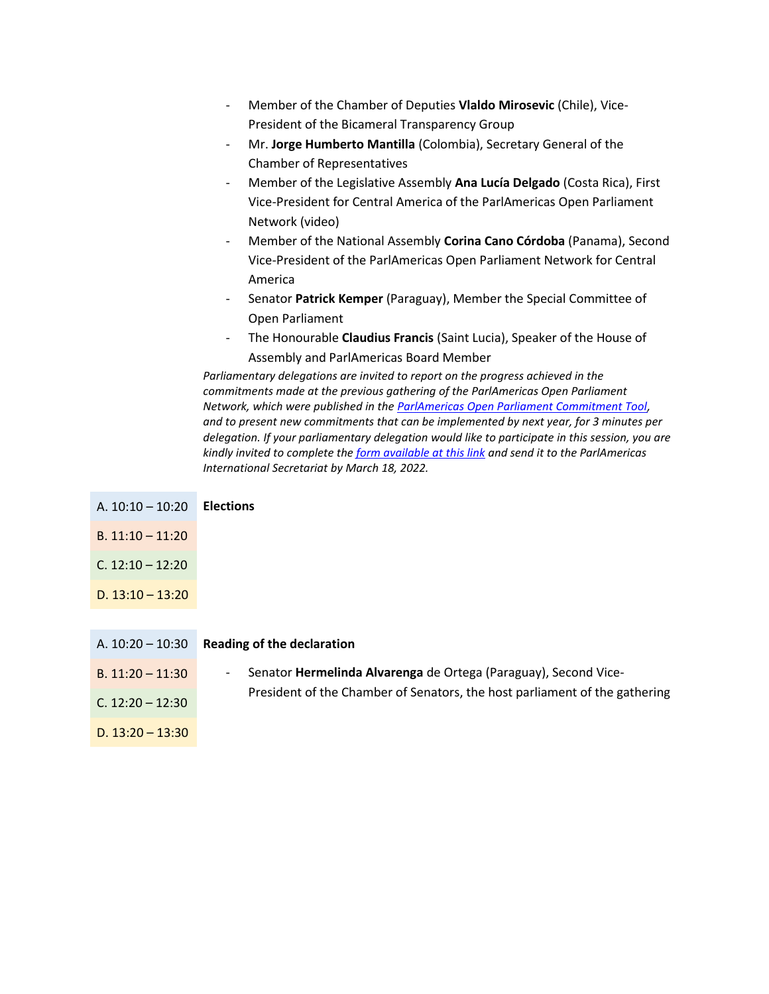- Member of the Chamber of Deputies **Vlaldo Mirosevic** (Chile), Vice-President of the Bicameral Transparency Group
- Mr. **Jorge Humberto Mantilla** (Colombia), Secretary General of the Chamber of Representatives
- Member of the Legislative Assembly **Ana Lucía Delgado** (Costa Rica), First Vice-President for Central America of the ParlAmericas Open Parliament Network (video)
- Member of the National Assembly **Corina Cano Córdoba** (Panama), Second Vice-President of the ParlAmericas Open Parliament Network for Central America
- Senator **Patrick Kemper** (Paraguay), Member the Special Committee of Open Parliament
- The Honourable **Claudius Francis** (Saint Lucia), Speaker of the House of Assembly and ParlAmericas Board Member

*Parliamentary delegations are invited to report on the progress achieved in the commitments made at the previous gathering of the ParlAmericas Open Parliament Network, which were published in the [ParlAmericas Open Parliament Commitment Tool,](http://www.parlamericas.org/en/open-parliament/parl-comm-tracker.aspx?/) and to present new commitments that can be implemented by next year, for 3 minutes per delegation. If your parliamentary delegation would like to participate in this session, you are kindly invited to complete th[e form available at this link](https://parlamericas.org/uploads/documents/OPN2022_Presentation_Forms_ENG.pdf) and send it to the ParlAmericas International Secretariat by March 18, 2022.*

| A. $10:10 - 10:20$    | <b>Elections</b> |
|-----------------------|------------------|
| $B. 11:10 - 11:20$    |                  |
| $C_{1}$ 12:10 – 12:20 |                  |
| D. $13:10 - 13:20$    |                  |

| A. 10:20 - 10:30   | Reading of the declaration                                                 |
|--------------------|----------------------------------------------------------------------------|
| $B. 11:20 - 11:30$ | Senator <b>Hermelinda Alvarenga</b> de Ortega (Paraguay), Second Vice-     |
| $C. 12:20 - 12:30$ | President of the Chamber of Senators, the host parliament of the gathering |
| D. $13:20 - 13:30$ |                                                                            |